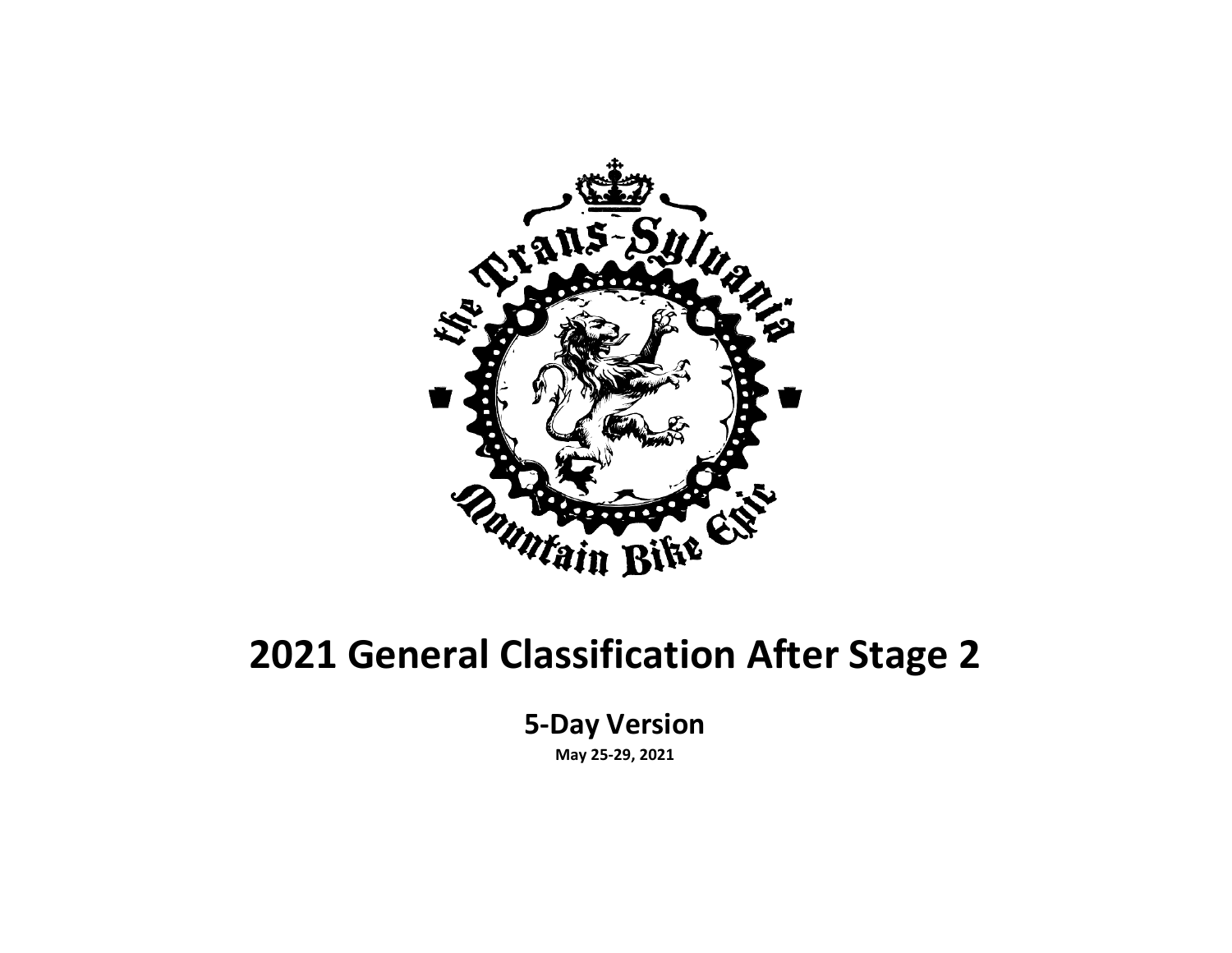

#### **2021 General Classification After Stage 2**

**5-Day Version**

**May 25-29, 2021**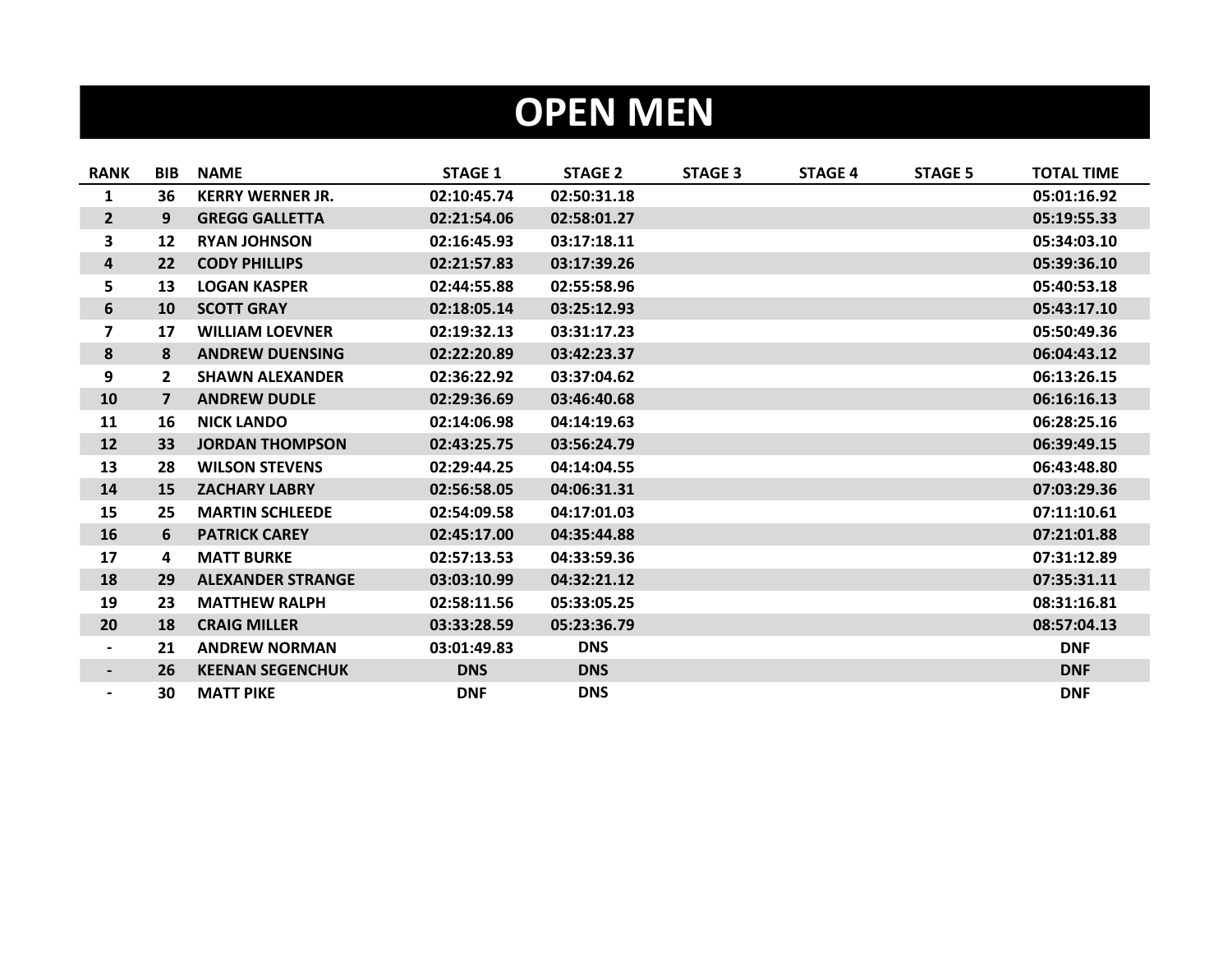### **OPEN MEN**

| <b>RANK</b>              | <b>BIB</b>   | <b>NAME</b>              | <b>STAGE 1</b> | <b>STAGE 2</b> | <b>STAGE 3</b> | <b>STAGE 4</b> | <b>STAGE 5</b> | <b>TOTAL TIME</b> |
|--------------------------|--------------|--------------------------|----------------|----------------|----------------|----------------|----------------|-------------------|
| 1                        | 36           | <b>KERRY WERNER JR.</b>  | 02:10:45.74    | 02:50:31.18    |                |                |                | 05:01:16.92       |
| $\overline{2}$           | 9            | <b>GREGG GALLETTA</b>    | 02:21:54.06    | 02:58:01.27    |                |                |                | 05:19:55.33       |
| 3                        | 12           | <b>RYAN JOHNSON</b>      | 02:16:45.93    | 03:17:18.11    |                |                |                | 05:34:03.10       |
| 4                        | 22           | <b>CODY PHILLIPS</b>     | 02:21:57.83    | 03:17:39.26    |                |                |                | 05:39:36.10       |
| 5                        | 13           | <b>LOGAN KASPER</b>      | 02:44:55.88    | 02:55:58.96    |                |                |                | 05:40:53.18       |
| 6                        | 10           | <b>SCOTT GRAY</b>        | 02:18:05.14    | 03:25:12.93    |                |                |                | 05:43:17.10       |
| 7                        | 17           | <b>WILLIAM LOEVNER</b>   | 02:19:32.13    | 03:31:17.23    |                |                |                | 05:50:49.36       |
| 8                        | 8            | <b>ANDREW DUENSING</b>   | 02:22:20.89    | 03:42:23.37    |                |                |                | 06:04:43.12       |
| 9                        | $\mathbf{2}$ | <b>SHAWN ALEXANDER</b>   | 02:36:22.92    | 03:37:04.62    |                |                |                | 06:13:26.15       |
| 10                       | $\mathbf{z}$ | <b>ANDREW DUDLE</b>      | 02:29:36.69    | 03:46:40.68    |                |                |                | 06:16:16.13       |
| 11                       | 16           | <b>NICK LANDO</b>        | 02:14:06.98    | 04:14:19.63    |                |                |                | 06:28:25.16       |
| 12                       | 33           | <b>JORDAN THOMPSON</b>   | 02:43:25.75    | 03:56:24.79    |                |                |                | 06:39:49.15       |
| 13                       | 28           | <b>WILSON STEVENS</b>    | 02:29:44.25    | 04:14:04.55    |                |                |                | 06:43:48.80       |
| 14                       | 15           | <b>ZACHARY LABRY</b>     | 02:56:58.05    | 04:06:31.31    |                |                |                | 07:03:29.36       |
| 15                       | 25           | <b>MARTIN SCHLEEDE</b>   | 02:54:09.58    | 04:17:01.03    |                |                |                | 07:11:10.61       |
| 16                       | 6            | <b>PATRICK CAREY</b>     | 02:45:17.00    | 04:35:44.88    |                |                |                | 07:21:01.88       |
| 17                       | 4            | <b>MATT BURKE</b>        | 02:57:13.53    | 04:33:59.36    |                |                |                | 07:31:12.89       |
| 18                       | 29           | <b>ALEXANDER STRANGE</b> | 03:03:10.99    | 04:32:21.12    |                |                |                | 07:35:31.11       |
| 19                       | 23           | <b>MATTHEW RALPH</b>     | 02:58:11.56    | 05:33:05.25    |                |                |                | 08:31:16.81       |
| 20                       | 18           | <b>CRAIG MILLER</b>      | 03:33:28.59    | 05:23:36.79    |                |                |                | 08:57:04.13       |
|                          | 21           | <b>ANDREW NORMAN</b>     | 03:01:49.83    | <b>DNS</b>     |                |                |                | <b>DNF</b>        |
| ۰.                       | 26           | <b>KEENAN SEGENCHUK</b>  | <b>DNS</b>     | <b>DNS</b>     |                |                |                | <b>DNF</b>        |
| $\overline{\phantom{0}}$ | 30           | <b>MATT PIKE</b>         | <b>DNF</b>     | <b>DNS</b>     |                |                |                | <b>DNF</b>        |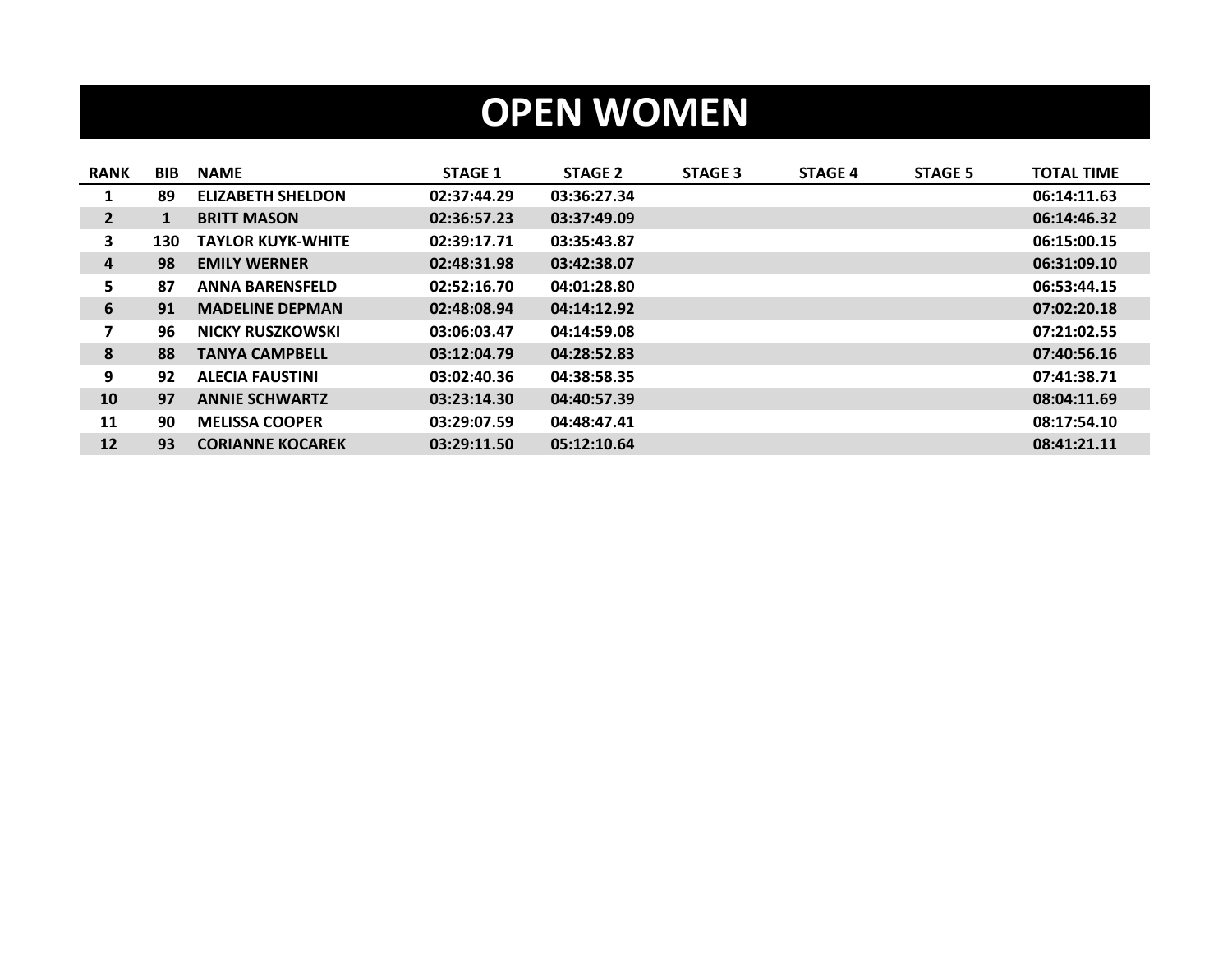# **OPEN WOMEN**

| <b>RANK</b>  | <b>BIB</b> | <b>NAME</b>              | <b>STAGE 1</b> | <b>STAGE 2</b> | <b>STAGE 3</b> | <b>STAGE 4</b> | <b>STAGE 5</b> | <b>TOTAL TIME</b> |
|--------------|------------|--------------------------|----------------|----------------|----------------|----------------|----------------|-------------------|
| 1            | 89         | <b>ELIZABETH SHELDON</b> | 02:37:44.29    | 03:36:27.34    |                |                |                | 06:14:11.63       |
| $\mathbf{2}$ | 1          | <b>BRITT MASON</b>       | 02:36:57.23    | 03:37:49.09    |                |                |                | 06:14:46.32       |
| 3.           | 130        | <b>TAYLOR KUYK-WHITE</b> | 02:39:17.71    | 03:35:43.87    |                |                |                | 06:15:00.15       |
| 4            | 98         | <b>EMILY WERNER</b>      | 02:48:31.98    | 03:42:38.07    |                |                |                | 06:31:09.10       |
| 5.           | 87         | <b>ANNA BARENSFELD</b>   | 02:52:16.70    | 04:01:28.80    |                |                |                | 06:53:44.15       |
| 6            | 91         | <b>MADELINE DEPMAN</b>   | 02:48:08.94    | 04:14:12.92    |                |                |                | 07:02:20.18       |
| 7            | 96         | NICKY RUSZKOWSKI         | 03:06:03.47    | 04:14:59.08    |                |                |                | 07:21:02.55       |
| 8            | 88         | <b>TANYA CAMPBELL</b>    | 03:12:04.79    | 04:28:52.83    |                |                |                | 07:40:56.16       |
| 9            | 92         | <b>ALECIA FAUSTINI</b>   | 03:02:40.36    | 04:38:58.35    |                |                |                | 07:41:38.71       |
| 10           | 97         | <b>ANNIE SCHWARTZ</b>    | 03:23:14.30    | 04:40:57.39    |                |                |                | 08:04:11.69       |
| 11           | 90         | <b>MELISSA COOPER</b>    | 03:29:07.59    | 04:48:47.41    |                |                |                | 08:17:54.10       |
| 12           | 93         | <b>CORIANNE KOCAREK</b>  | 03:29:11.50    | 05:12:10.64    |                |                |                | 08:41:21.11       |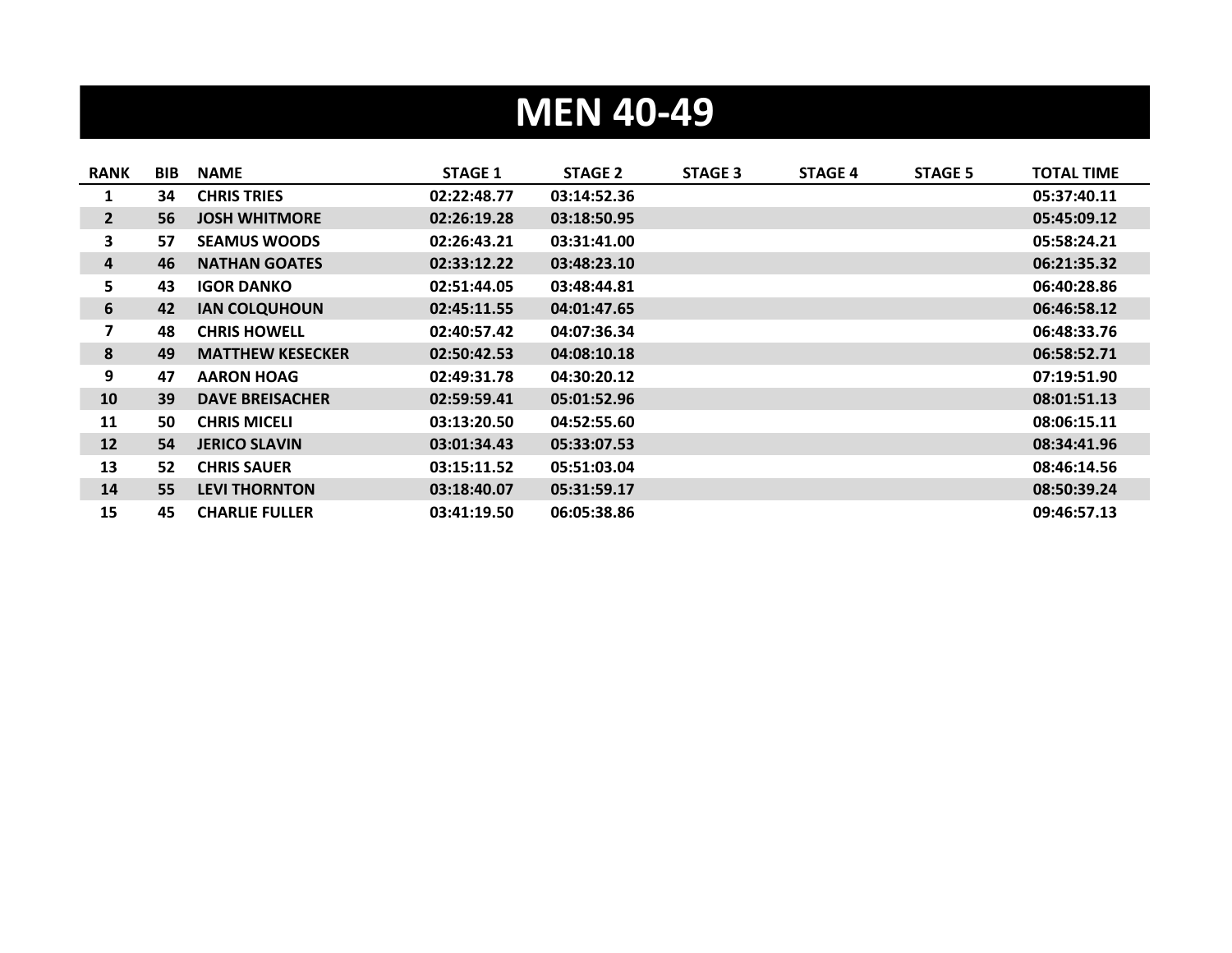## **MEN 40-49**

| <b>RANK</b>    | <b>BIB</b> | <b>NAME</b>             | <b>STAGE 1</b> | <b>STAGE 2</b> | <b>STAGE 3</b> | <b>STAGE 4</b> | <b>STAGE 5</b> | <b>TOTAL TIME</b> |
|----------------|------------|-------------------------|----------------|----------------|----------------|----------------|----------------|-------------------|
| 1              | 34         | <b>CHRIS TRIES</b>      | 02:22:48.77    | 03:14:52.36    |                |                |                | 05:37:40.11       |
| $\overline{2}$ | 56         | <b>JOSH WHITMORE</b>    | 02:26:19.28    | 03:18:50.95    |                |                |                | 05:45:09.12       |
| 3              | 57         | <b>SEAMUS WOODS</b>     | 02:26:43.21    | 03:31:41.00    |                |                |                | 05:58:24.21       |
| 4              | 46         | <b>NATHAN GOATES</b>    | 02:33:12.22    | 03:48:23.10    |                |                |                | 06:21:35.32       |
| 5              | 43         | <b>IGOR DANKO</b>       | 02:51:44.05    | 03:48:44.81    |                |                |                | 06:40:28.86       |
| 6              | 42         | <b>IAN COLQUHOUN</b>    | 02:45:11.55    | 04:01:47.65    |                |                |                | 06:46:58.12       |
| 7              | 48         | <b>CHRIS HOWELL</b>     | 02:40:57.42    | 04:07:36.34    |                |                |                | 06:48:33.76       |
| 8              | 49         | <b>MATTHEW KESECKER</b> | 02:50:42.53    | 04:08:10.18    |                |                |                | 06:58:52.71       |
| 9              | 47         | <b>AARON HOAG</b>       | 02:49:31.78    | 04:30:20.12    |                |                |                | 07:19:51.90       |
| 10             | 39         | <b>DAVE BREISACHER</b>  | 02:59:59.41    | 05:01:52.96    |                |                |                | 08:01:51.13       |
| 11             | 50         | <b>CHRIS MICELI</b>     | 03:13:20.50    | 04:52:55.60    |                |                |                | 08:06:15.11       |
| 12             | 54         | <b>JERICO SLAVIN</b>    | 03:01:34.43    | 05:33:07.53    |                |                |                | 08:34:41.96       |
| 13             | 52         | <b>CHRIS SAUER</b>      | 03:15:11.52    | 05:51:03.04    |                |                |                | 08:46:14.56       |
| 14             | 55         | <b>LEVI THORNTON</b>    | 03:18:40.07    | 05:31:59.17    |                |                |                | 08:50:39.24       |
| 15             | 45         | <b>CHARLIE FULLER</b>   | 03:41:19.50    | 06:05:38.86    |                |                |                | 09:46:57.13       |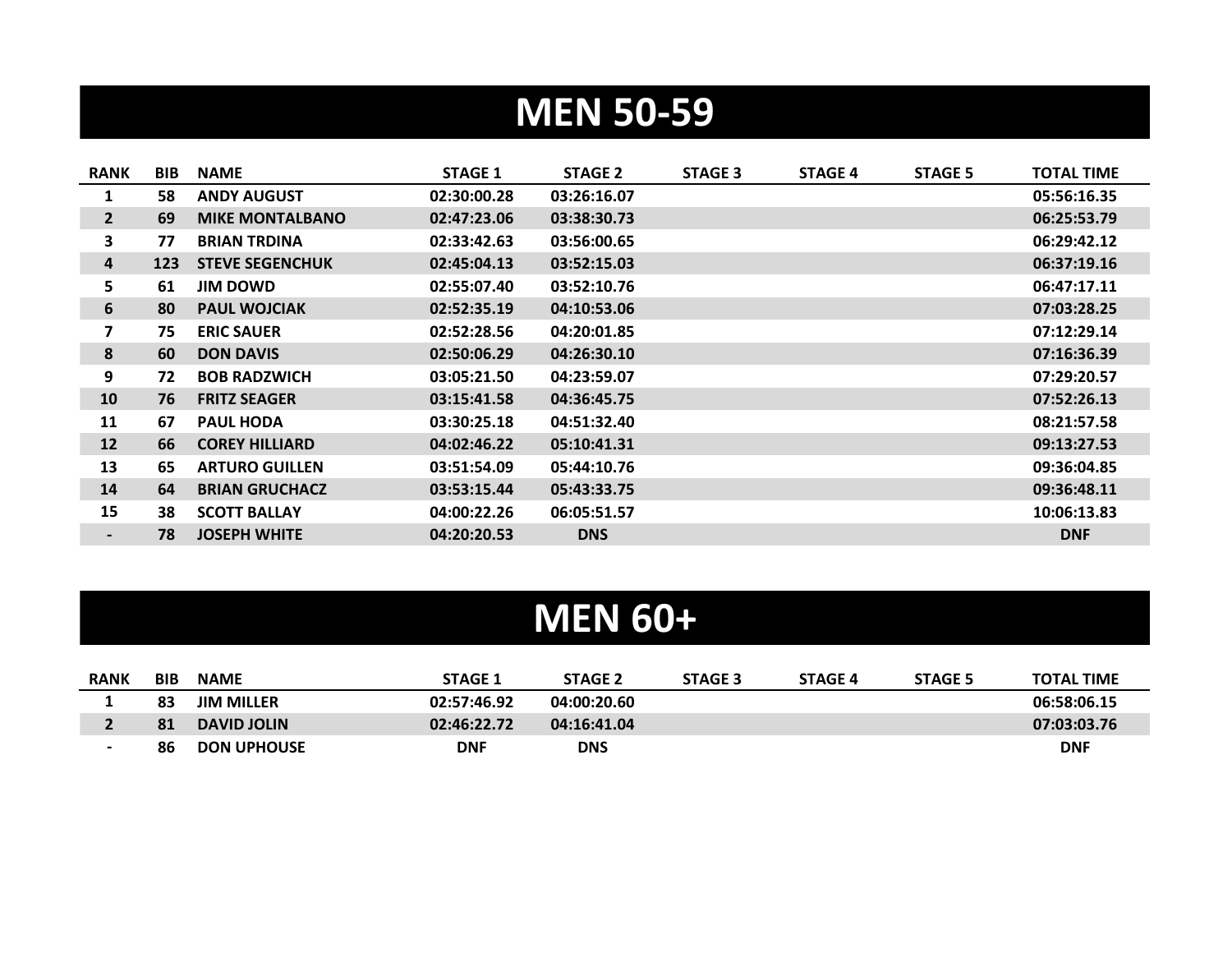# **MEN 50-59**

| <b>RANK</b>              | <b>BIB</b> | <b>NAME</b>            | <b>STAGE 1</b> | <b>STAGE 2</b> | <b>STAGE 3</b> | <b>STAGE 4</b> | <b>STAGE 5</b> | <b>TOTAL TIME</b> |
|--------------------------|------------|------------------------|----------------|----------------|----------------|----------------|----------------|-------------------|
| 1                        | 58         | <b>ANDY AUGUST</b>     | 02:30:00.28    | 03:26:16.07    |                |                |                | 05:56:16.35       |
| $2^{\circ}$              | 69         | <b>MIKE MONTALBANO</b> | 02:47:23.06    | 03:38:30.73    |                |                |                | 06:25:53.79       |
| 3                        | 77         | <b>BRIAN TRDINA</b>    | 02:33:42.63    | 03:56:00.65    |                |                |                | 06:29:42.12       |
| 4                        | 123        | <b>STEVE SEGENCHUK</b> | 02:45:04.13    | 03:52:15.03    |                |                |                | 06:37:19.16       |
| 5                        | 61         | <b>JIM DOWD</b>        | 02:55:07.40    | 03:52:10.76    |                |                |                | 06:47:17.11       |
| 6                        | 80         | <b>PAUL WOJCIAK</b>    | 02:52:35.19    | 04:10:53.06    |                |                |                | 07:03:28.25       |
| 7                        | 75         | <b>ERIC SAUER</b>      | 02:52:28.56    | 04:20:01.85    |                |                |                | 07:12:29.14       |
| 8                        | 60         | <b>DON DAVIS</b>       | 02:50:06.29    | 04:26:30.10    |                |                |                | 07:16:36.39       |
| 9                        | 72         | <b>BOB RADZWICH</b>    | 03:05:21.50    | 04:23:59.07    |                |                |                | 07:29:20.57       |
| 10                       | 76         | <b>FRITZ SEAGER</b>    | 03:15:41.58    | 04:36:45.75    |                |                |                | 07:52:26.13       |
| 11                       | 67         | <b>PAUL HODA</b>       | 03:30:25.18    | 04:51:32.40    |                |                |                | 08:21:57.58       |
| 12                       | 66         | <b>COREY HILLIARD</b>  | 04:02:46.22    | 05:10:41.31    |                |                |                | 09:13:27.53       |
| 13                       | 65         | <b>ARTURO GUILLEN</b>  | 03:51:54.09    | 05:44:10.76    |                |                |                | 09:36:04.85       |
| 14                       | 64         | <b>BRIAN GRUCHACZ</b>  | 03:53:15.44    | 05:43:33.75    |                |                |                | 09:36:48.11       |
| 15                       | 38         | <b>SCOTT BALLAY</b>    | 04:00:22.26    | 06:05:51.57    |                |                |                | 10:06:13.83       |
| $\overline{\phantom{0}}$ | 78         | <b>JOSEPH WHITE</b>    | 04:20:20.53    | <b>DNS</b>     |                |                |                | <b>DNF</b>        |

#### **MEN 60+**

| <b>RANK</b> | <b>BIB</b> | <b>NAME</b>        | STAGE 1     | <b>STAGE 2</b> | <b>STAGE 3</b> | <b>STAGE 4</b> | <b>STAGE 5</b> | <b>TOTAL TIME</b> |
|-------------|------------|--------------------|-------------|----------------|----------------|----------------|----------------|-------------------|
|             | 83         | <b>JIM MILLER</b>  | 02:57:46.92 | 04:00:20.60    |                |                |                | 06:58:06.15       |
|             | 81         | <b>DAVID JOLIN</b> | 02:46:22.72 | 04:16:41.04    |                |                |                | 07:03:03.76       |
|             | 86         | <b>DON UPHOUSE</b> | DNF         | DNS            |                |                |                | <b>DNF</b>        |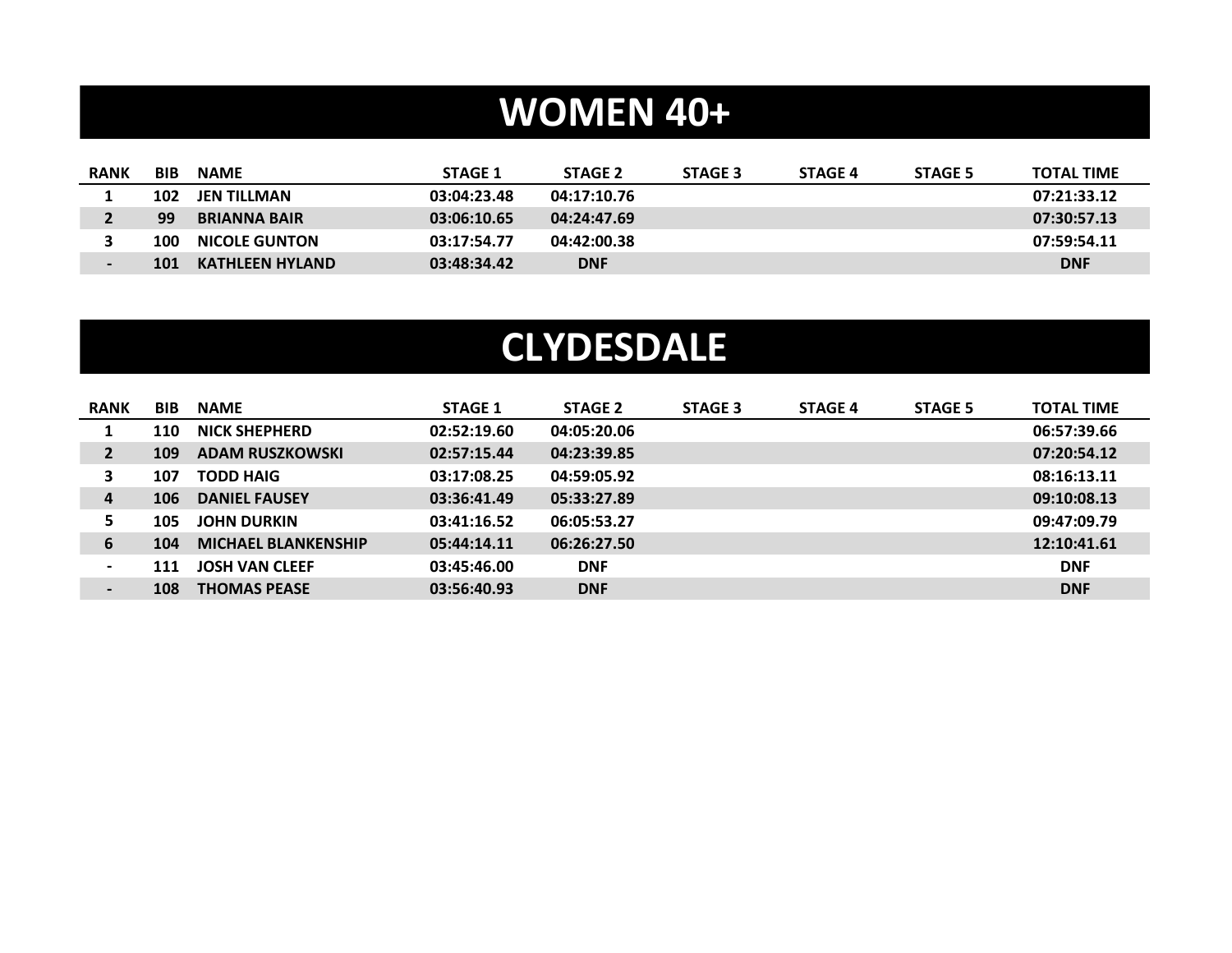#### **WOMEN 40+**

| <b>RANK</b> | <b>BIB</b> | <b>NAME</b>          | <b>STAGE 1</b> | <b>STAGE 2</b> | <b>STAGE 3</b> | <b>STAGE 4</b> | <b>STAGE 5</b> | <b>TOTAL TIME</b> |
|-------------|------------|----------------------|----------------|----------------|----------------|----------------|----------------|-------------------|
|             | 102        | JEN TILLMAN          | 03:04:23.48    | 04:17:10.76    |                |                |                | 07:21:33.12       |
|             | 99         | <b>BRIANNA BAIR</b>  | 03:06:10.65    | 04:24:47.69    |                |                |                | 07:30:57.13       |
|             | 100        | <b>NICOLE GUNTON</b> | 03:17:54.77    | 04:42:00.38    |                |                |                | 07:59:54.11       |
|             | 101        | KATHLEEN HYLAND      | 03:48:34.42    | <b>DNF</b>     |                |                |                | <b>DNF</b>        |

### **CLYDESDALE**

| <b>RANK</b>    | <b>BIB</b> | <b>NAME</b>                | <b>STAGE 1</b> | <b>STAGE 2</b> | <b>STAGE 3</b> | <b>STAGE 4</b> | <b>STAGE 5</b> | <b>TOTAL TIME</b> |
|----------------|------------|----------------------------|----------------|----------------|----------------|----------------|----------------|-------------------|
|                | 110        | <b>NICK SHEPHERD</b>       | 02:52:19.60    | 04:05:20.06    |                |                |                | 06:57:39.66       |
| $\mathbf{2}$   | 109        | <b>ADAM RUSZKOWSKI</b>     | 02:57:15.44    | 04:23:39.85    |                |                |                | 07:20:54.12       |
| 3              | 107        | <b>TODD HAIG</b>           | 03:17:08.25    | 04:59:05.92    |                |                |                | 08:16:13.11       |
| 4              | 106        | <b>DANIEL FAUSEY</b>       | 03:36:41.49    | 05:33:27.89    |                |                |                | 09:10:08.13       |
| 5              | 105        | <b>JOHN DURKIN</b>         | 03:41:16.52    | 06:05:53.27    |                |                |                | 09:47:09.79       |
| 6              | 104        | <b>MICHAEL BLANKENSHIP</b> | 05:44:14.11    | 06:26:27.50    |                |                |                | 12:10:41.61       |
| $\blacksquare$ | 111        | <b>JOSH VAN CLEEF</b>      | 03:45:46.00    | <b>DNF</b>     |                |                |                | <b>DNF</b>        |
| $\blacksquare$ | 108        | <b>THOMAS PEASE</b>        | 03:56:40.93    | <b>DNF</b>     |                |                |                | <b>DNF</b>        |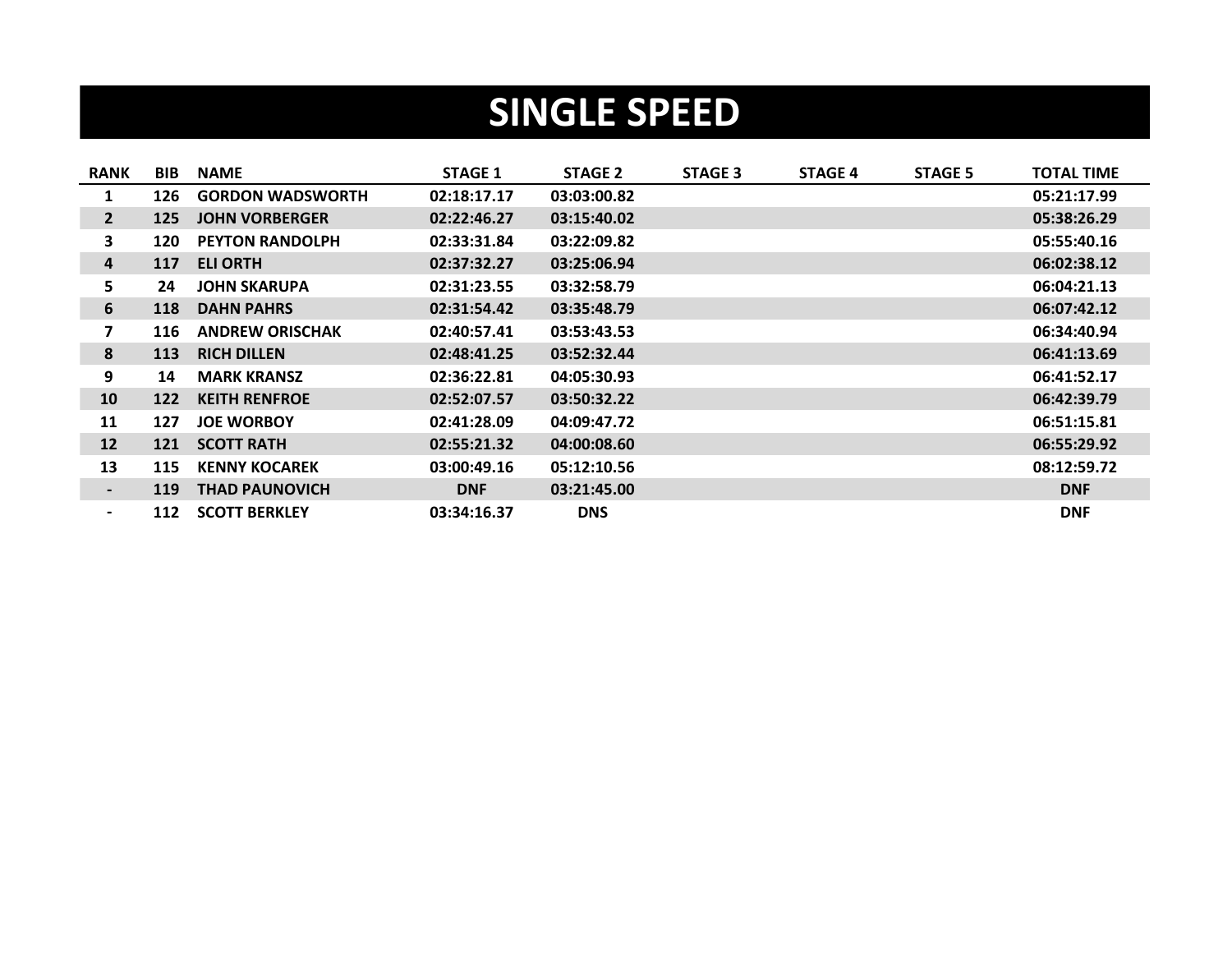#### **SINGLE SPEED**

| <b>RANK</b>    | <b>BIB</b> | <b>NAME</b>             | <b>STAGE 1</b> | <b>STAGE 2</b> | <b>STAGE 3</b> | <b>STAGE 4</b> | <b>STAGE 5</b> | <b>TOTAL TIME</b> |
|----------------|------------|-------------------------|----------------|----------------|----------------|----------------|----------------|-------------------|
| 1              | 126        | <b>GORDON WADSWORTH</b> | 02:18:17.17    | 03:03:00.82    |                |                |                | 05:21:17.99       |
| 2 <sup>1</sup> | 125        | <b>JOHN VORBERGER</b>   | 02:22:46.27    | 03:15:40.02    |                |                |                | 05:38:26.29       |
| 3              | 120        | <b>PEYTON RANDOLPH</b>  | 02:33:31.84    | 03:22:09.82    |                |                |                | 05:55:40.16       |
| 4              | 117        | <b>ELI ORTH</b>         | 02:37:32.27    | 03:25:06.94    |                |                |                | 06:02:38.12       |
| 5              | 24         | <b>JOHN SKARUPA</b>     | 02:31:23.55    | 03:32:58.79    |                |                |                | 06:04:21.13       |
| 6              | 118        | <b>DAHN PAHRS</b>       | 02:31:54.42    | 03:35:48.79    |                |                |                | 06:07:42.12       |
| 7              | 116        | <b>ANDREW ORISCHAK</b>  | 02:40:57.41    | 03:53:43.53    |                |                |                | 06:34:40.94       |
| 8              | 113        | <b>RICH DILLEN</b>      | 02:48:41.25    | 03:52:32.44    |                |                |                | 06:41:13.69       |
| 9              | 14         | <b>MARK KRANSZ</b>      | 02:36:22.81    | 04:05:30.93    |                |                |                | 06:41:52.17       |
| 10             | 122        | <b>KEITH RENFROE</b>    | 02:52:07.57    | 03:50:32.22    |                |                |                | 06:42:39.79       |
| 11             | 127        | <b>JOE WORBOY</b>       | 02:41:28.09    | 04:09:47.72    |                |                |                | 06:51:15.81       |
| 12             | 121        | <b>SCOTT RATH</b>       | 02:55:21.32    | 04:00:08.60    |                |                |                | 06:55:29.92       |
| 13             | 115        | <b>KENNY KOCAREK</b>    | 03:00:49.16    | 05:12:10.56    |                |                |                | 08:12:59.72       |
| $\blacksquare$ | <b>119</b> | <b>THAD PAUNOVICH</b>   | <b>DNF</b>     | 03:21:45.00    |                |                |                | <b>DNF</b>        |
| $\blacksquare$ | 112        | <b>SCOTT BERKLEY</b>    | 03:34:16.37    | <b>DNS</b>     |                |                |                | <b>DNF</b>        |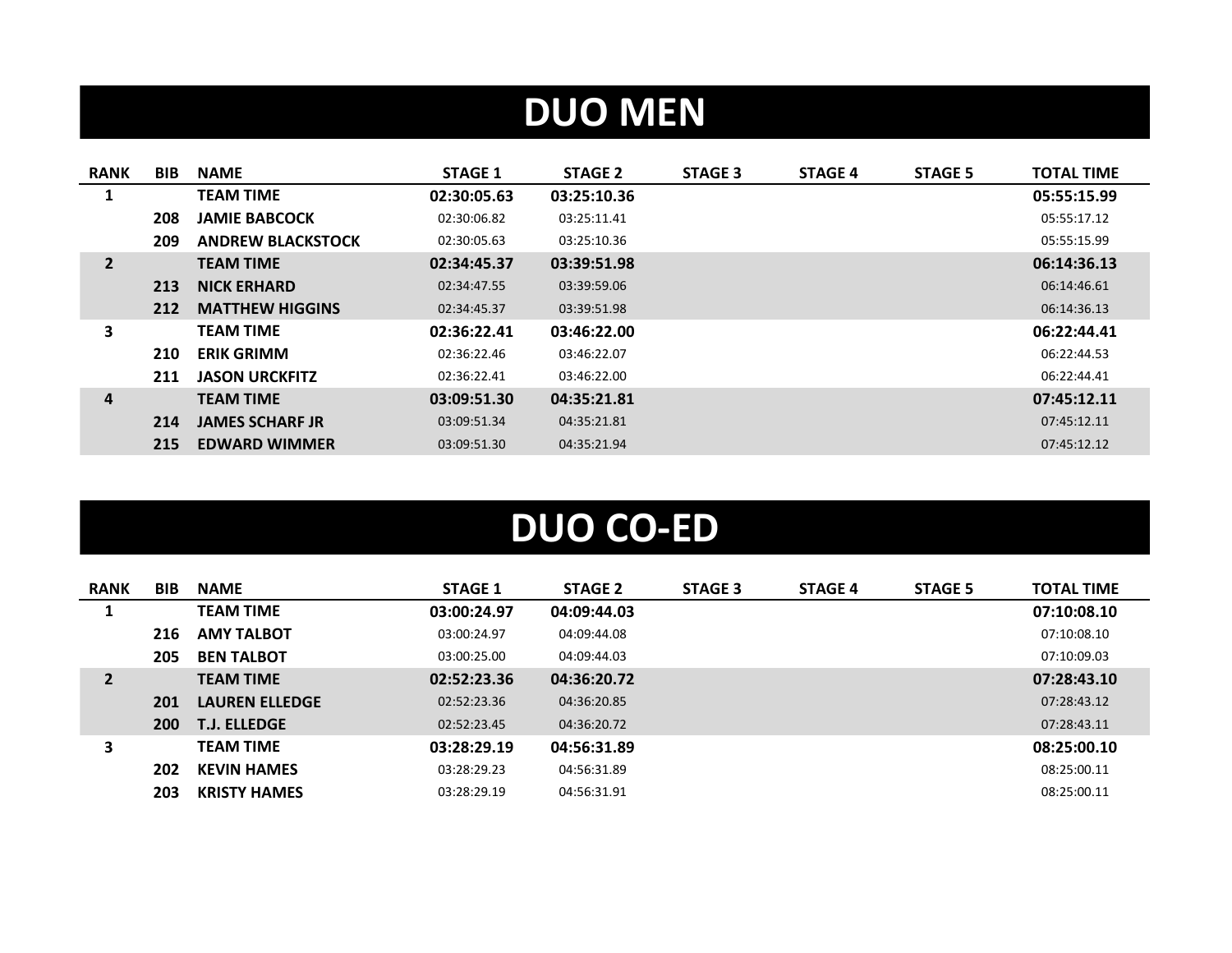# **DUO MEN**

| <b>RANK</b>  | <b>BIB</b> | <b>NAME</b>              | <b>STAGE 1</b> | <b>STAGE 2</b> | <b>STAGE 3</b> | <b>STAGE 4</b> | <b>STAGE 5</b> | <b>TOTAL TIME</b> |
|--------------|------------|--------------------------|----------------|----------------|----------------|----------------|----------------|-------------------|
| 1            |            | <b>TEAM TIME</b>         | 02:30:05.63    | 03:25:10.36    |                |                |                | 05:55:15.99       |
|              | 208        | <b>JAMIE BABCOCK</b>     | 02:30:06.82    | 03:25:11.41    |                |                |                | 05:55:17.12       |
|              | 209        | <b>ANDREW BLACKSTOCK</b> | 02:30:05.63    | 03:25:10.36    |                |                |                | 05:55:15.99       |
| $\mathbf{2}$ |            | <b>TEAM TIME</b>         | 02:34:45.37    | 03:39:51.98    |                |                |                | 06:14:36.13       |
|              | 213        | <b>NICK ERHARD</b>       | 02:34:47.55    | 03:39:59.06    |                |                |                | 06:14:46.61       |
|              | 212        | <b>MATTHEW HIGGINS</b>   | 02:34:45.37    | 03:39:51.98    |                |                |                | 06:14:36.13       |
| 3            |            | <b>TEAM TIME</b>         | 02:36:22.41    | 03:46:22.00    |                |                |                | 06:22:44.41       |
|              | 210        | <b>ERIK GRIMM</b>        | 02:36:22.46    | 03:46:22.07    |                |                |                | 06:22:44.53       |
|              | 211        | <b>JASON URCKFITZ</b>    | 02:36:22.41    | 03:46:22.00    |                |                |                | 06:22:44.41       |
| 4            |            | <b>TEAM TIME</b>         | 03:09:51.30    | 04:35:21.81    |                |                |                | 07:45:12.11       |
|              | 214        | <b>JAMES SCHARF JR</b>   | 03:09:51.34    | 04:35:21.81    |                |                |                | 07:45:12.11       |
|              | 215        | <b>EDWARD WIMMER</b>     | 03:09:51.30    | 04:35:21.94    |                |                |                | 07:45:12.12       |

# **DUO CO-ED**

| <b>RANK</b>    | <b>BIB</b> | <b>NAME</b>           | <b>STAGE 1</b> | STAGE 2     | <b>STAGE 3</b> | <b>STAGE 4</b> | <b>STAGE 5</b> | <b>TOTAL TIME</b> |
|----------------|------------|-----------------------|----------------|-------------|----------------|----------------|----------------|-------------------|
|                |            | <b>TEAM TIME</b>      | 03:00:24.97    | 04:09:44.03 |                |                |                | 07:10:08.10       |
|                | 216        | <b>AMY TALBOT</b>     | 03:00:24.97    | 04:09:44.08 |                |                |                | 07:10:08.10       |
|                | 205        | <b>BEN TALBOT</b>     | 03:00:25.00    | 04:09:44.03 |                |                |                | 07:10:09.03       |
| $\overline{2}$ |            | <b>TEAM TIME</b>      | 02:52:23.36    | 04:36:20.72 |                |                |                | 07:28:43.10       |
|                | 201        | <b>LAUREN ELLEDGE</b> | 02:52:23.36    | 04:36:20.85 |                |                |                | 07:28:43.12       |
|                | <b>200</b> | <b>T.J. ELLEDGE</b>   | 02:52:23.45    | 04:36:20.72 |                |                |                | 07:28:43.11       |
| 3              |            | <b>TEAM TIME</b>      | 03:28:29.19    | 04:56:31.89 |                |                |                | 08:25:00.10       |
|                | 202        | <b>KEVIN HAMES</b>    | 03:28:29.23    | 04:56:31.89 |                |                |                | 08:25:00.11       |
|                | 203        | <b>KRISTY HAMES</b>   | 03:28:29.19    | 04:56:31.91 |                |                |                | 08:25:00.11       |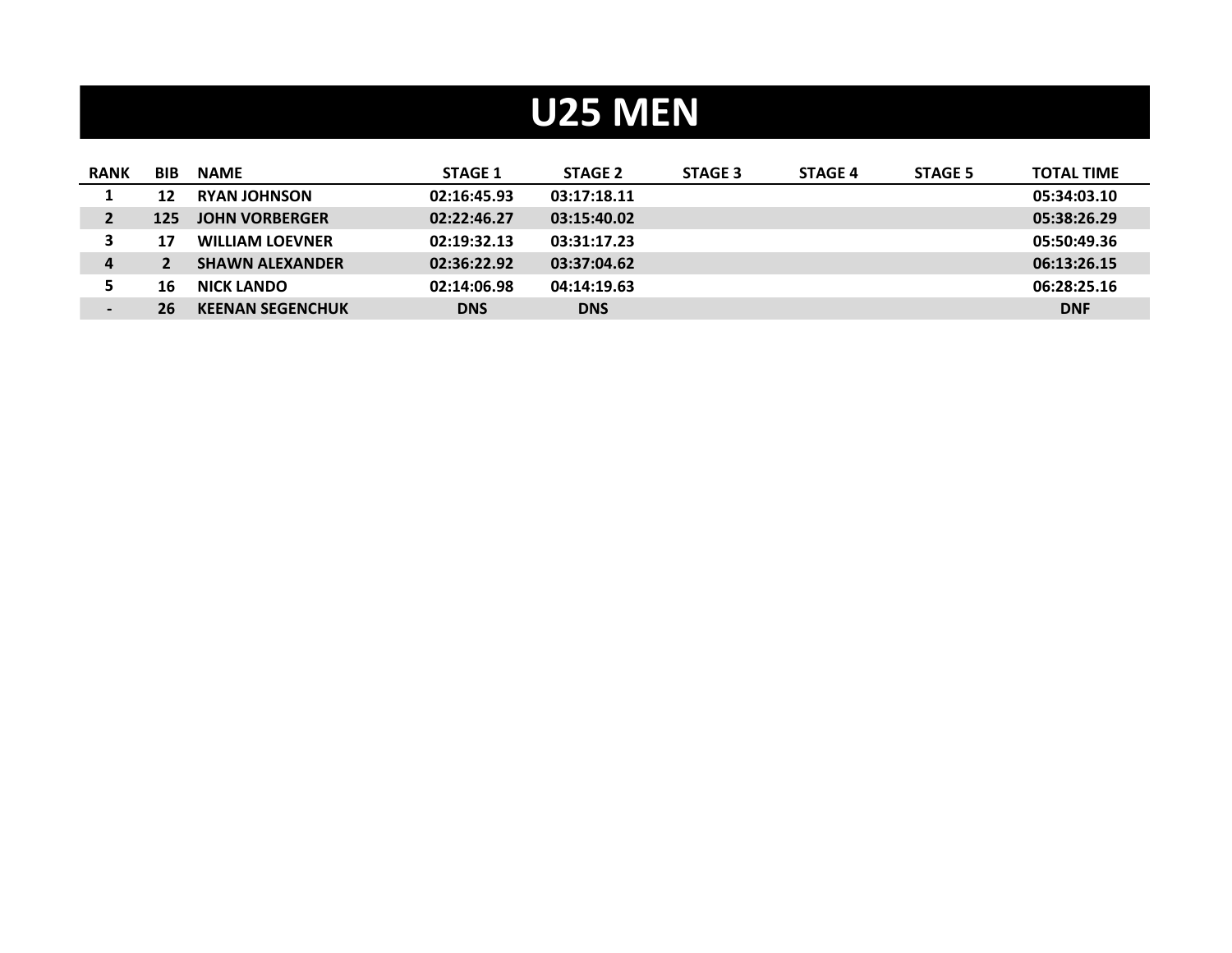## **U25 MEN**

| <b>RANK</b>                  | <b>BIB</b> | <b>NAME</b>             | <b>STAGE 1</b> | <b>STAGE 2</b> | <b>STAGE 3</b> | <b>STAGE 4</b> | <b>STAGE 5</b> | <b>TOTAL TIME</b> |
|------------------------------|------------|-------------------------|----------------|----------------|----------------|----------------|----------------|-------------------|
|                              | 12         | <b>RYAN JOHNSON</b>     | 02:16:45.93    | 03:17:18.11    |                |                |                | 05:34:03.10       |
|                              | 125        | <b>JOHN VORBERGER</b>   | 02:22:46.27    | 03:15:40.02    |                |                |                | 05:38:26.29       |
|                              | 17         | <b>WILLIAM LOEVNER</b>  | 02:19:32.13    | 03:31:17.23    |                |                |                | 05:50:49.36       |
|                              |            | <b>SHAWN ALEXANDER</b>  | 02:36:22.92    | 03:37:04.62    |                |                |                | 06:13:26.15       |
|                              | 16         | <b>NICK LANDO</b>       | 02:14:06.98    | 04:14:19.63    |                |                |                | 06:28:25.16       |
| $\qquad \qquad \blacksquare$ | 26         | <b>KEENAN SEGENCHUK</b> | <b>DNS</b>     | <b>DNS</b>     |                |                |                | <b>DNF</b>        |